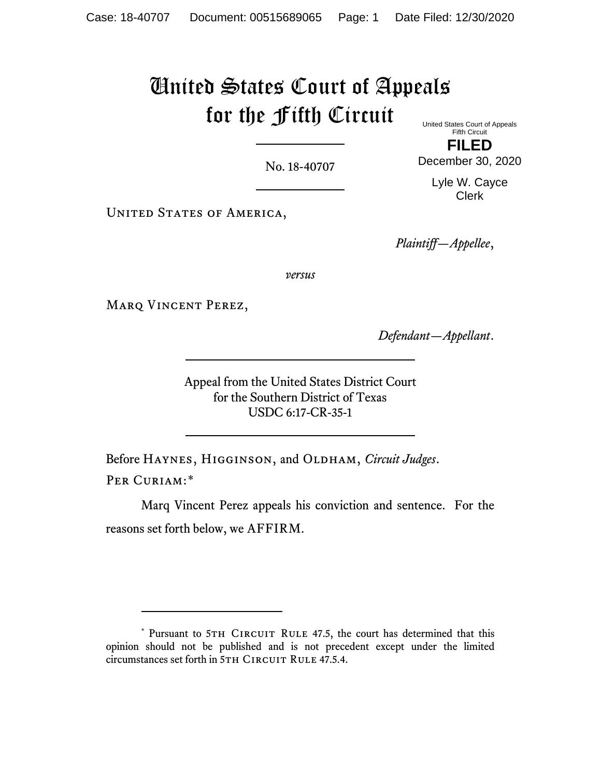# United States Court of Appeals for the Fifth Circuit United States Court of Appeals

No. 18-40707

Fifth Circuit **FILED**

December 30, 2020

Lyle W. Cayce Clerk

UNITED STATES OF AMERICA,

*Plaintiff—Appellee*,

*versus*

Marq Vincent Perez,

*Defendant—Appellant*.

Appeal from the United States District Court for the Southern District of Texas USDC 6:17-CR-35-1

Before HAYNES, HIGGINSON, and OLDHAM, *Circuit Judges*. PER CURIAM:[\\*](#page-0-0)

Marq Vincent Perez appeals his conviction and sentence. For the reasons set forth below, we AFFIRM.

<span id="page-0-0"></span><sup>\*</sup> Pursuant to 5TH CIRCUIT RULE 47.5, the court has determined that this opinion should not be published and is not precedent except under the limited circumstances set forth in 5TH CIRCUIT RULE 47.5.4.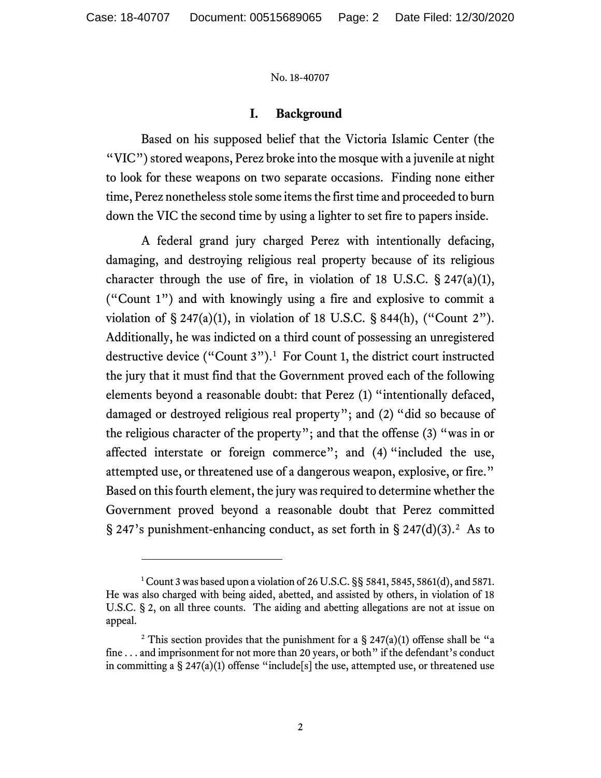## **I. Background**

Based on his supposed belief that the Victoria Islamic Center (the "VIC") stored weapons, Perez broke into the mosque with a juvenile at night to look for these weapons on two separate occasions. Finding none either time, Perez nonetheless stole some items the first time and proceeded to burn down the VIC the second time by using a lighter to set fire to papers inside.

A federal grand jury charged Perez with intentionally defacing, damaging, and destroying religious real property because of its religious character through the use of fire, in violation of 18 U.S.C.  $\S$  247(a)(1), ("Count 1") and with knowingly using a fire and explosive to commit a violation of  $\S 247(a)(1)$ , in violation of 18 U.S.C.  $\S 844(h)$ , ("Count 2"). Additionally, he was indicted on a third count of possessing an unregistered destructive device ("Count  $3$ ").<sup>[1](#page-1-0)</sup> For Count 1, the district court instructed the jury that it must find that the Government proved each of the following elements beyond a reasonable doubt: that Perez (1) "intentionally defaced, damaged or destroyed religious real property"; and (2) "did so because of the religious character of the property"; and that the offense (3) "was in or affected interstate or foreign commerce"; and (4) "included the use, attempted use, or threatened use of a dangerous weapon, explosive, or fire." Based on this fourth element, the jury was required to determine whether the Government proved beyond a reasonable doubt that Perez committed § [2](#page-1-1)47's punishment-enhancing conduct, as set forth in § 247(d)(3).<sup>2</sup> As to

<span id="page-1-0"></span><sup>&</sup>lt;sup>1</sup> Count 3 was based upon a violation of 26 U.S.C. §§ 5841, 5845, 5861(d), and 5871. He was also charged with being aided, abetted, and assisted by others, in violation of 18 U.S.C. § 2, on all three counts. The aiding and abetting allegations are not at issue on appeal.

<span id="page-1-1"></span><sup>&</sup>lt;sup>2</sup> This section provides that the punishment for a § 247(a)(1) offense shall be "a fine . . . and imprisonment for not more than 20 years, or both" if the defendant's conduct in committing a  $\S$  247(a)(1) offense "include [s] the use, attempted use, or threatened use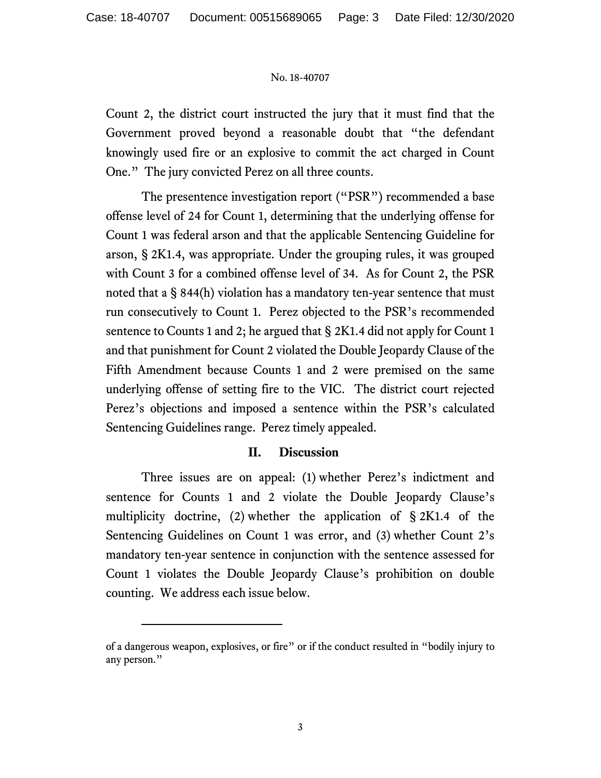Count 2, the district court instructed the jury that it must find that the Government proved beyond a reasonable doubt that "the defendant knowingly used fire or an explosive to commit the act charged in Count One." The jury convicted Perez on all three counts.

The presentence investigation report ("PSR") recommended a base offense level of 24 for Count 1, determining that the underlying offense for Count 1 was federal arson and that the applicable Sentencing Guideline for arson, § 2K1.4, was appropriate. Under the grouping rules, it was grouped with Count 3 for a combined offense level of 34. As for Count 2, the PSR noted that a § 844(h) violation has a mandatory ten-year sentence that must run consecutively to Count 1. Perez objected to the PSR's recommended sentence to Counts 1 and 2; he argued that § 2K1.4 did not apply for Count 1 and that punishment for Count 2 violated the Double Jeopardy Clause of the Fifth Amendment because Counts 1 and 2 were premised on the same underlying offense of setting fire to the VIC. The district court rejected Perez's objections and imposed a sentence within the PSR's calculated Sentencing Guidelines range. Perez timely appealed.

## **II. Discussion**

Three issues are on appeal: (1) whether Perez's indictment and sentence for Counts 1 and 2 violate the Double Jeopardy Clause's multiplicity doctrine, (2) whether the application of § 2K1.4 of the Sentencing Guidelines on Count 1 was error, and (3) whether Count 2's mandatory ten-year sentence in conjunction with the sentence assessed for Count 1 violates the Double Jeopardy Clause's prohibition on double counting. We address each issue below.

of a dangerous weapon, explosives, or fire" or if the conduct resulted in "bodily injury to any person."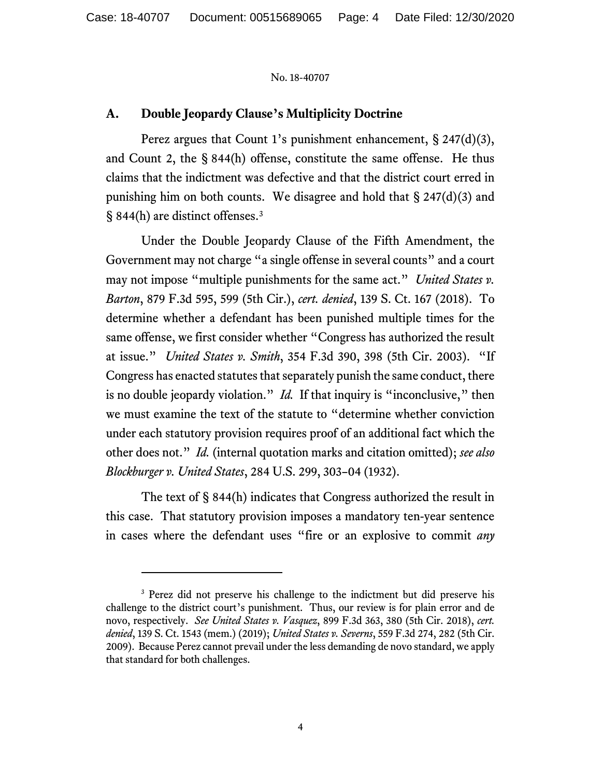# **A. Double Jeopardy Clause's Multiplicity Doctrine**

Perez argues that Count 1's punishment enhancement, § 247(d)(3), and Count 2, the § 844(h) offense, constitute the same offense. He thus claims that the indictment was defective and that the district court erred in punishing him on both counts. We disagree and hold that  $\S 247(d)(3)$  and § 844(h) are distinct offenses.[3](#page-3-0)

Under the Double Jeopardy Clause of the Fifth Amendment, the Government may not charge "a single offense in several counts" and a court may not impose "multiple punishments for the same act." *United States v. Barton*, 879 F.3d 595, 599 (5th Cir.), *cert. denied*, 139 S. Ct. 167 (2018). To determine whether a defendant has been punished multiple times for the same offense, we first consider whether "Congress has authorized the result at issue." *United States v. Smith*, 354 F.3d 390, 398 (5th Cir. 2003). "If Congress has enacted statutes that separately punish the same conduct, there is no double jeopardy violation." *Id.* If that inquiry is "inconclusive," then we must examine the text of the statute to "determine whether conviction under each statutory provision requires proof of an additional fact which the other does not." *Id.* (internal quotation marks and citation omitted); *see also Blockburger v. United States*, 284 U.S. 299, 303–04 (1932).

The text of § 844(h) indicates that Congress authorized the result in this case. That statutory provision imposes a mandatory ten-year sentence in cases where the defendant uses "fire or an explosive to commit *any* 

<span id="page-3-0"></span><sup>&</sup>lt;sup>3</sup> Perez did not preserve his challenge to the indictment but did preserve his challenge to the district court's punishment. Thus, our review is for plain error and de novo, respectively. *See United States v. Vasquez*, 899 F.3d 363, 380 (5th Cir. 2018), *cert. denied*, 139 S. Ct. 1543 (mem.) (2019); *United States v. Severns*, 559 F.3d 274, 282 (5th Cir. 2009). Because Perez cannot prevail under the less demanding de novo standard, we apply that standard for both challenges.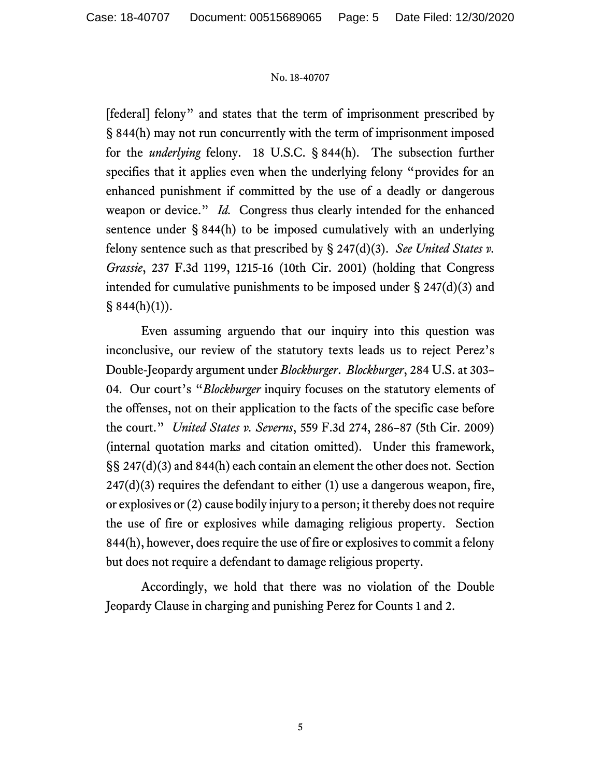[federal] felony" and states that the term of imprisonment prescribed by § 844(h) may not run concurrently with the term of imprisonment imposed for the *underlying* felony. 18 U.S.C. § 844(h). The subsection further specifies that it applies even when the underlying felony "provides for an enhanced punishment if committed by the use of a deadly or dangerous weapon or device." *Id.* Congress thus clearly intended for the enhanced sentence under § 844(h) to be imposed cumulatively with an underlying felony sentence such as that prescribed by § 247(d)(3). *See United States v. Grassie*, 237 F.3d 1199, 1215-16 (10th Cir. 2001) (holding that Congress intended for cumulative punishments to be imposed under § 247(d)(3) and  $§ 844(h)(1)$ .

Even assuming arguendo that our inquiry into this question was inconclusive, our review of the statutory texts leads us to reject Perez's Double-Jeopardy argument under *Blockburger*. *Blockburger*, 284 U.S. at 303– 04. Our court's "*Blockburger* inquiry focuses on the statutory elements of the offenses, not on their application to the facts of the specific case before the court." *United States v. Severns*, 559 F.3d 274, 286–87 (5th Cir. 2009) (internal quotation marks and citation omitted). Under this framework, §§ 247(d)(3) and 844(h) each contain an element the other does not. Section  $247(d)(3)$  requires the defendant to either (1) use a dangerous weapon, fire, or explosives or (2) cause bodily injury to a person; it thereby does not require the use of fire or explosives while damaging religious property. Section 844(h), however, does require the use of fire or explosives to commit a felony but does not require a defendant to damage religious property.

Accordingly, we hold that there was no violation of the Double Jeopardy Clause in charging and punishing Perez for Counts 1 and 2.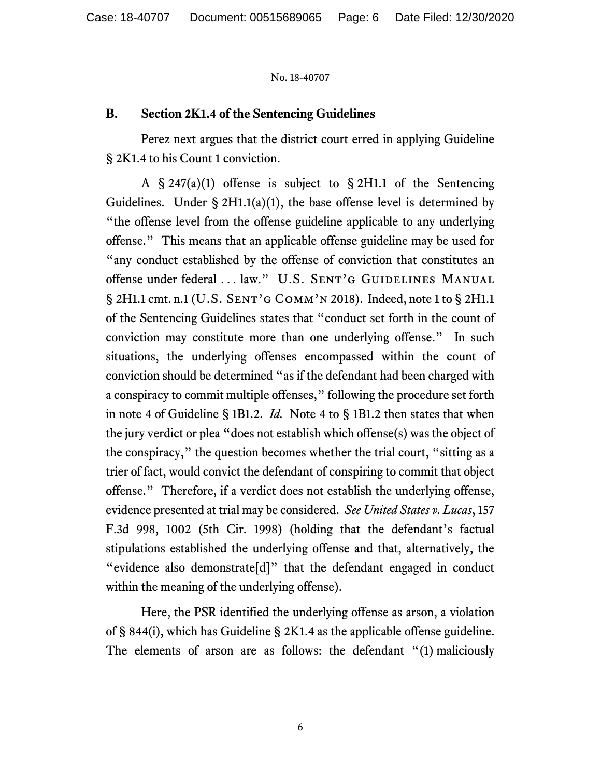## **B. Section 2K1.4 of the Sentencing Guidelines**

Perez next argues that the district court erred in applying Guideline § 2K1.4 to his Count 1 conviction.

A § 247(a)(1) offense is subject to § 2H1.1 of the Sentencing Guidelines. Under §  $2H1.1(a)(1)$ , the base offense level is determined by "the offense level from the offense guideline applicable to any underlying offense." This means that an applicable offense guideline may be used for "any conduct established by the offense of conviction that constitutes an offense under federal ... law." U.S. SENT'G GUIDELINES MANUAL § 2H1.1 cmt. n.1 (U.S. SENT'G СОММ'N 2018). Indeed, note 1 to § 2H1.1 of the Sentencing Guidelines states that "conduct set forth in the count of conviction may constitute more than one underlying offense." In such situations, the underlying offenses encompassed within the count of conviction should be determined "as if the defendant had been charged with a conspiracy to commit multiple offenses," following the procedure set forth in note 4 of Guideline § 1B1.2. *Id.* Note 4 to § 1B1.2 then states that when the jury verdict or plea "does not establish which offense(s) was the object of the conspiracy," the question becomes whether the trial court, "sitting as a trier of fact, would convict the defendant of conspiring to commit that object offense." Therefore, if a verdict does not establish the underlying offense, evidence presented at trial may be considered. *See United States v. Lucas*, 157 F.3d 998, 1002 (5th Cir. 1998) (holding that the defendant's factual stipulations established the underlying offense and that, alternatively, the "evidence also demonstrate[d]" that the defendant engaged in conduct within the meaning of the underlying offense).

Here, the PSR identified the underlying offense as arson, a violation of § 844(i), which has Guideline § 2K1.4 as the applicable offense guideline. The elements of arson are as follows: the defendant "(1) maliciously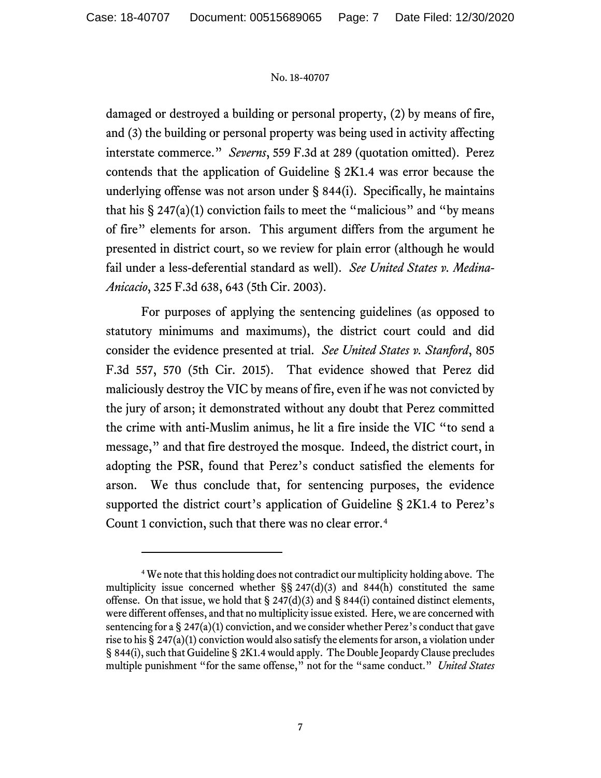damaged or destroyed a building or personal property, (2) by means of fire, and (3) the building or personal property was being used in activity affecting interstate commerce." *Severns*, 559 F.3d at 289 (quotation omitted). Perez contends that the application of Guideline § 2K1.4 was error because the underlying offense was not arson under § 844(i). Specifically, he maintains that his  $\S 247(a)(1)$  conviction fails to meet the "malicious" and "by means" of fire" elements for arson. This argument differs from the argument he presented in district court, so we review for plain error (although he would fail under a less-deferential standard as well). *See United States v. Medina-Anicacio*, 325 F.3d 638, 643 (5th Cir. 2003).

For purposes of applying the sentencing guidelines (as opposed to statutory minimums and maximums), the district court could and did consider the evidence presented at trial. *See United States v. Stanford*, 805 F.3d 557, 570 (5th Cir. 2015). That evidence showed that Perez did maliciously destroy the VIC by means of fire, even if he was not convicted by the jury of arson; it demonstrated without any doubt that Perez committed the crime with anti-Muslim animus, he lit a fire inside the VIC "to send a message," and that fire destroyed the mosque. Indeed, the district court, in adopting the PSR, found that Perez's conduct satisfied the elements for arson. We thus conclude that, for sentencing purposes, the evidence supported the district court's application of Guideline § 2K1.4 to Perez's Count 1 conviction, such that there was no clear error. [4](#page-6-0)

<span id="page-6-0"></span><sup>4</sup> We note that this holding does not contradict our multiplicity holding above. The multiplicity issue concerned whether  $\S$ § 247(d)(3) and 844(h) constituted the same offense. On that issue, we hold that  $\S$  247(d)(3) and  $\S$  844(i) contained distinct elements, were different offenses, and that no multiplicity issue existed. Here, we are concerned with sentencing for a  $\S 247(a)(1)$  conviction, and we consider whether Perez's conduct that gave rise to his § 247(a)(1) conviction would also satisfy the elements for arson, a violation under § 844(i), such that Guideline § 2K1.4 would apply. The Double Jeopardy Clause precludes multiple punishment "for the same offense," not for the "same conduct." *United States*